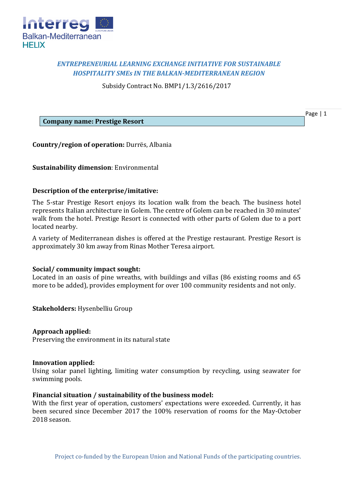

# *ENTREPRENEURIAL LEARNING EXCHANGE INITIATIVE FOR SUSTAINABLE HOSPITALITY SMEs IN THE BALKAN-MEDITERRANEAN REGION*

Subsidy Contract No. BMP1/1.3/2616/2017

Page | 1

**Company name: Prestige Resort**

**Country/region of operation:** Durrës, Albania

**Sustainability dimension**: Environmental

## **Description of the enterprise/imitative:**

The 5-star Prestige Resort enjoys its location walk from the beach. The business hotel represents Italian architecture in Golem. The centre of Golem can be reached in 30 minutes' walk from the hotel. Prestige Resort is connected with other parts of Golem due to a port located nearby.

A variety of Mediterranean dishes is offered at the Prestige restaurant. Prestige Resort is approximately 30 km away from Rinas Mother Teresa airport.

## **Social/ community impact sought:**

Located in an oasis of pine wreaths, with buildings and villas (86 existing rooms and 65 more to be added), provides employment for over 100 community residents and not only.

**Stakeholders:** Hysenbelliu Group

## **Approach applied:**

Preserving the environment in its natural state

## **Innovation applied:**

Using solar panel lighting, limiting water consumption by recycling, using seawater for swimming pools.

## **Financial situation / sustainability of the business model:**

With the first year of operation, customers' expectations were exceeded. Currently, it has been secured since December 2017 the 100% reservation of rooms for the May-October 2018 season.